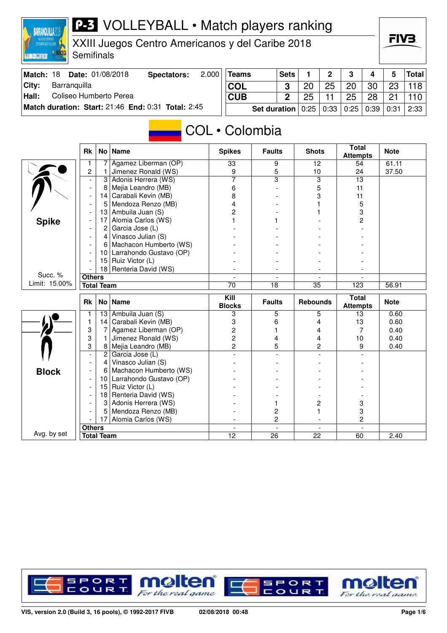## P-3 VOLLEYBALL • Match players ranking **BARRANQUILLA2018** FIV3. XXIII Juegos Centro Americanos y del Caribe 2018 **Semifinals BOULDER AND STATE Teams Sets 1 2 3 4 5 Total Match: 18 Date: 01/08/2018 Spectators: 2.000 City: Barranquilla COL**  $3 \mid 20$ 25 20 30 23 118 **Hall:** Coliseo Humberto Perea **CUB 2** 25 25 28 11 21 110 **Match duration: Start:** 21:46 **End:** 0:31 **Total:** 2:45 **Set duration** 0:25 0:33 0:25 0:39 0:31 2:33 COL • Colombia **Attempts Note Rk No Name Spikes Faults Shots Total** 1 7 Agamez Liberman (OP) 33 9 12 54 61.11<br>2 1 Jimenez Ronald (WS) 9 5 10 24 37.50 1 Jimenez Ronald (WS)  $\begin{array}{|c|c|c|c|c|c|c|c|} \hline 1 & 3 & 5 & 10 & 24 \\ \hline 2 & 4 & 3 & 3 & 13 \\ \hline \end{array}$  $\sum_{n=1}^{\infty}$ - 3 Adonis Herrera (WS)<br>- 8 Meija Leandro (MB) - 8 Mejia Leandro (MB) 6 - 5 11 - 14 Carabali Kevin (MB) 8 - 3 11 - 5 Mendoza Renzo (MB) 4 - 1 5 - 13 Ambuila Juan (S) 2 - 1 3 - 17 Alomia Carlos (WS) 1 1 - 2 **Spike** Garcia Jose (L)  $\qquad \qquad$   $\qquad$   $\qquad$   $\qquad$   $\qquad$   $\qquad$   $\qquad$   $\qquad$   $\qquad$   $\qquad$   $\qquad$   $\qquad$   $\qquad$   $\qquad$   $\qquad$   $\qquad$   $\qquad$   $\qquad$   $\qquad$   $\qquad$   $\qquad$   $\qquad$   $\qquad$   $\qquad$   $\qquad$   $\qquad$   $\qquad$   $\qquad$   $\qquad$   $\qquad$   $\qquad$   $\qquad$   $\qquad$   $\qquad$  $-$  4 Vinasco Julian (S)

- 10 Larrahondo Gustavo (OP) - - - - - 15 Ruiz Victor (L) - - - -

**Others** - - - -

| Limit: 15.00% | <b>Total Team</b>        |                   |                         | 70            | 18              | 35                              | 123         | 56.91 |  |
|---------------|--------------------------|-------------------|-------------------------|---------------|-----------------|---------------------------------|-------------|-------|--|
|               | <b>Rk</b><br>No   Name   |                   | Kill<br><b>Blocks</b>   | <b>Faults</b> | <b>Rebounds</b> | <b>Total</b><br><b>Attempts</b> | <b>Note</b> |       |  |
|               |                          | 13                | Ambuila Juan (S)        |               | 5               | 5                               | 13          | 0.60  |  |
|               |                          | 14                | Carabali Kevin (MB)     |               |                 |                                 | 13          | 0.60  |  |
|               | 3                        |                   | Agamez Liberman (OP)    |               |                 |                                 |             | 0.40  |  |
|               | 3                        |                   | Jimenez Ronald (WS)     |               |                 | 4                               | 10          | 0.40  |  |
|               | 3                        |                   | Mejia Leandro (MB)      |               | 5               | 2                               | 9           | 0.40  |  |
|               | $\overline{\phantom{a}}$ | $\overline{2}$    | Garcia Jose (L)         |               |                 |                                 |             |       |  |
|               |                          | 4                 | Vinasco Julian (S)      |               |                 |                                 |             |       |  |
| <b>Block</b>  |                          | 6                 | Machacon Humberto (WS)  |               |                 |                                 |             |       |  |
|               | $\overline{\phantom{a}}$ | 10                | Larrahondo Gustavo (OP) |               |                 |                                 |             |       |  |
|               |                          | 15                | Ruiz Victor (L)         |               |                 |                                 |             |       |  |
|               |                          | 18                | Renteria David (WS)     |               |                 |                                 |             |       |  |
|               |                          | 3                 | Adonis Herrera (WS)     |               |                 |                                 | 3           |       |  |
|               |                          | 5                 | Mendoza Renzo (MB)      |               |                 |                                 |             |       |  |
|               |                          |                   | Alomia Carlos (WS)      |               |                 |                                 | 2           |       |  |
|               | <b>Others</b>            |                   |                         |               |                 |                                 |             |       |  |
| Avg. by set   |                          | <b>Total Team</b> |                         | 12            | 26              | 22                              | 60          | 2.40  |  |
|               |                          |                   |                         |               |                 |                                 |             |       |  |

 $-$  6 Machacon Humberto (WS)

 $18$  Renteria David (WS)

Succ. %

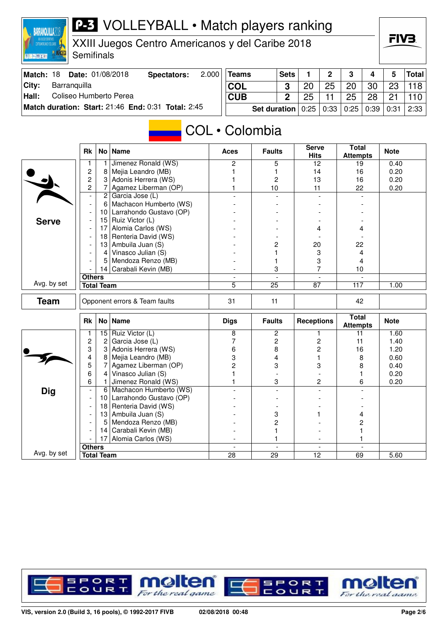## FIV3 XXIII Juegos Centro Americanos y del Caribe 2018 **Semifinals DRESSE Match: 18 Date: 01/08/2018 Spectators: 2.000 Teams Sets 1 2 3 4 5 Total City: Barranquilla COL**  $3 \mid 20$ 25 20 30 23 118 **Hall:** Coliseo Humberto Perea **CUB 2** 25 25 28 11 21 110 **Match duration: Start:** 21:46 **End:** 0:31 **Total:** 2:45 **Set duration** 0:25 0:33 0:25 0:39 0:31 2:33 COL • Colombia **Total** Rk No Name **Aces Faults** Serve **Attempts Note Hits** 1 1 Jimenez Ronald (WS) 2 5 12 19 0.40<br>
2 8 Mejia Leandro (MB) 1 1 1 4 16 0.20 2 8 Mejia Leandro (MB) 1 1 14 16 0.20  $\begin{array}{c|c|c|c|c|c|c|c|c} \hline 2 & 3 & \text{Adonis Herrera (WS)} & & & & 1 & & 2 & 13 & 16 \\ 2 & 7 & \text{Aaamez Liberman (OP)} & & & 1 & & 10 & & 11 & 22 \ \hline \end{array}$ Agamez Liberman (OP)  $\begin{array}{|c|c|c|c|c|c|c|c|} \hline \end{array}$  10  $\begin{array}{|c|c|c|c|c|} \hline \end{array}$  11  $\begin{array}{|c|c|c|c|c|c|} \hline \end{array}$  22  $\begin{array}{|c|c|c|c|c|} \hline \end{array}$  0.20  $2$  Garcia Jose (L)  $-$  6 Machacon Humberto (WS) - 10 Larrahondo Gustavo (OP) - - - - - 15 Ruiz Victor (L) - - - - **Serve** Alomia Carlos (WS)  $\overline{4}$  -  $\overline{4}$  4  $-$  | 18 | Renteria David (WS) - 13 Ambuila Juan (S) - 2 20 22 - 4 Vinasco Julian (S) - 1 3 4<br>- 5 Mendoza Renzo (MB) - - 1 3 4 - 5 Mendoza Renzo (MB) - 1 3 4<br>- 14 Carabali Kevin (MB) - 3 3 7 10 - 14 Carabali Kevin (MB) - 3 7 10 **Others** - - - - Avg. by set **Total Team** 5 25 87 117 1.00 **Team** Opponent errors & Team faults 31 11 42 **Attempts Note** Rk No Name **Receptions** Receptions **Receptions** Receptions **Receptions** 1 15 Ruiz Victor (L) 8 2 1 1 11 1.60<br>
2 2 Garcia Jose (L) 7 2 2 11 1.40 2 Garcia Jose (L) 7 | 2 | 2 | 11 | 1.40  $\frac{1}{\sqrt{2}}$ 3 3 Adonis Herrera (WS) 6 8 2 16 1.20<br>
4 8 Meija Leandro (MB) 3 4 1 8 0.60 4 8 Mejia Leandro (MB) 3 4 1 8 0.60<br>5 7 Agamez Liberman (OP) 2 3 3 8 0.40 5 7 Agamez Liberman (OP) 2 3 3 8 0.40 1 1 | 1 | 1 | 1 | 1 | 1 | 1 | 0.20<br>
6 | 1 | Jimenez Ronald (WS) | 1 | 1 | 3 | 2 | 6 | 0.20 1 Jimenez Ronald (WS) 1 1 3 2 6 - 6 Machacon Humberto (WS) - - - - **Dig**  $-$  10 Larrahondo Gustavo (OP)  $-$  | 18 | Renteria David (WS)  $-$  |  $-$  |  $-$

**P-3** VOLLEYBALL • Match players ranking



- 13 Ambuila Juan (S) - 3 1 4

**Others** - - - -

14 Carabali Kevin (MB)  $\begin{array}{|c|c|c|c|c|c|c|c|} \hline \text{1} & \text{1} & \text{1} & \text{1} & \text{1} & \text{1} \\ \hline \text{17} & \text{Alomia Carlos (WS)} & & & & & \text{1} & \text{1} & \text{1} & \text{1} & \text{1} & \text{1} \\ \hline \end{array}$ - 17 Alomia Carlos (WS) - 1 - 1

**Total Team 28 29 12 69 5.60** 

Avg. by set

**BARRANQUILLA2018** 

 $-$  5 Mendoza Renzo (MB)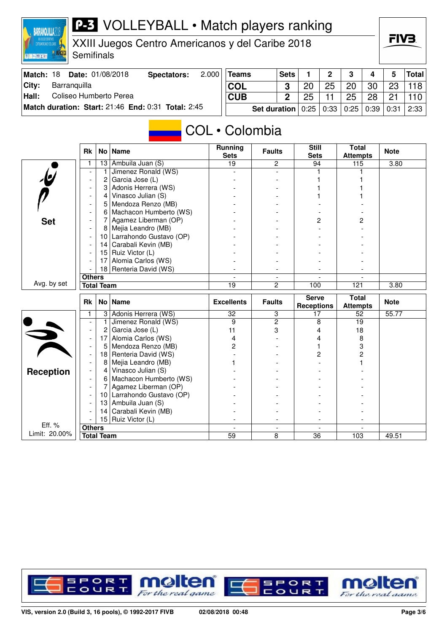## **P-3** VOLLEYBALL • Match players ranking

XXIII Juegos Centro Americanos y del Caribe 2018

**Semifinals** 

**BARRANQUILLA2018** 

**INTERNATION** 

| Match: 18 | <b>Date: 01/08/2018</b>                            | Spectators: | 2.000                                                            | <b>Teams</b> | <b>Sets</b> |                | $\Omega$ | 3  |                      |    | <b>Total</b> |
|-----------|----------------------------------------------------|-------------|------------------------------------------------------------------|--------------|-------------|----------------|----------|----|----------------------|----|--------------|
| City:     | Barranquilla                                       |             |                                                                  | <b>COL</b>   |             | 2 <sup>c</sup> | 25       | 20 | 30                   | 23 | 118          |
| Hall:     | Coliseo Humberto Perea                             |             |                                                                  | <b>CUB</b>   |             | 25             |          | 25 | 28                   | 21 |              |
|           | Match duration: Start: 21:46 End: 0:31 Total: 2:45 |             | <b>Set duration</b>   $0.25$   $0.33$   $0.25$   $0.39$   $0.31$ |              |             |                |          |    | $\vert$ 2:33 $\vert$ |    |              |

## COL • Colombia

|                          | <b>Rk</b>                |                   | No   Name                  | <b>Running</b><br><b>Sets</b>     | <b>Faults</b>  | <b>Still</b><br><b>Sets</b> | <b>Total</b><br><b>Attempts</b> | <b>Note</b> |
|--------------------------|--------------------------|-------------------|----------------------------|-----------------------------------|----------------|-----------------------------|---------------------------------|-------------|
|                          | 1                        | 13                | Ambuila Juan (S)           | 19                                | $\overline{2}$ | 94                          | 115                             | 3.80        |
| $\overline{\mathcal{L}}$ |                          | 1                 | Jimenez Ronald (WS)        |                                   |                |                             |                                 |             |
|                          | $\overline{\phantom{a}}$ | 2                 | Garcia Jose (L)            |                                   |                |                             |                                 |             |
|                          | $\blacksquare$           | 3                 | Adonis Herrera (WS)        |                                   |                |                             |                                 |             |
|                          | $\overline{\phantom{a}}$ | 4                 | Vinasco Julian (S)         |                                   |                |                             |                                 |             |
|                          | $\blacksquare$           | 5                 | Mendoza Renzo (MB)         |                                   |                |                             |                                 |             |
|                          | $\blacksquare$           | 6                 | Machacon Humberto (WS)     |                                   |                |                             |                                 |             |
| <b>Set</b>               |                          | 7                 | Agamez Liberman (OP)       |                                   |                | 2                           | 2                               |             |
|                          |                          | 8                 | Mejia Leandro (MB)         |                                   |                |                             |                                 |             |
|                          |                          | 10 <sup>1</sup>   | Larrahondo Gustavo (OP)    |                                   |                |                             |                                 |             |
|                          |                          | 14                | Carabali Kevin (MB)        |                                   |                |                             |                                 |             |
|                          |                          | 15 <sub>1</sub>   | Ruiz Victor (L)            |                                   |                |                             |                                 |             |
|                          |                          | 17                | Alomia Carlos (WS)         |                                   |                |                             |                                 |             |
|                          |                          |                   | 18 Renteria David (WS)     |                                   |                |                             |                                 |             |
|                          | <b>Others</b>            |                   |                            |                                   |                |                             |                                 |             |
| Avg. by set              |                          | <b>Total Team</b> |                            | $\overline{2}$<br>$\overline{19}$ |                | 121<br>100                  |                                 | 3.80        |
|                          |                          |                   |                            |                                   |                |                             |                                 |             |
|                          |                          |                   |                            |                                   |                | <b>Serve</b>                | <b>Total</b>                    |             |
|                          | <b>Rk</b>                |                   | No   Name                  | <b>Excellents</b>                 | <b>Faults</b>  | <b>Receptions</b>           | <b>Attempts</b>                 | <b>Note</b> |
|                          | 1                        | 3                 | Adonis Herrera (WS)        | 32                                | 3              | 17                          | 52                              | 55.77       |
|                          |                          | 1                 | Jimenez Ronald (WS)        | 9                                 | $\overline{2}$ | 8                           | 19                              |             |
|                          |                          | 2                 | Garcia Jose (L)            | 11                                | 3              | 4                           | 18                              |             |
|                          |                          | 17                | Alomia Carlos (WS)         | 4                                 |                | 4                           | 8                               |             |
|                          | $\overline{\phantom{a}}$ | 5                 | Mendoza Renzo (MB)         | 2                                 |                |                             | 3                               |             |
|                          |                          | 18                | Renteria David (WS)        |                                   |                | 2                           | $\overline{c}$                  |             |
|                          |                          | 8                 | Mejia Leandro (MB)         |                                   |                |                             |                                 |             |
| <b>Reception</b>         |                          | $\overline{4}$    | Vinasco Julian (S)         |                                   |                |                             |                                 |             |
|                          |                          | $6 \mid$          | Machacon Humberto (WS)     |                                   |                |                             |                                 |             |
|                          |                          | 7                 | Agamez Liberman (OP)       |                                   |                |                             |                                 |             |
|                          |                          |                   | 10 Larrahondo Gustavo (OP) |                                   |                |                             |                                 |             |
|                          |                          | 13                | Ambuila Juan (S)           |                                   |                |                             |                                 |             |
|                          |                          | 14                | Carabali Kevin (MB)        |                                   |                |                             |                                 |             |
|                          |                          |                   | 15 Ruiz Victor (L)         |                                   |                |                             |                                 |             |
| Eff. %<br>Limit: 20.00%  | <b>Others</b>            | <b>Total Team</b> |                            | 59                                | 8              | 36                          | 103                             | 49.51       |



FIV<sub>3</sub>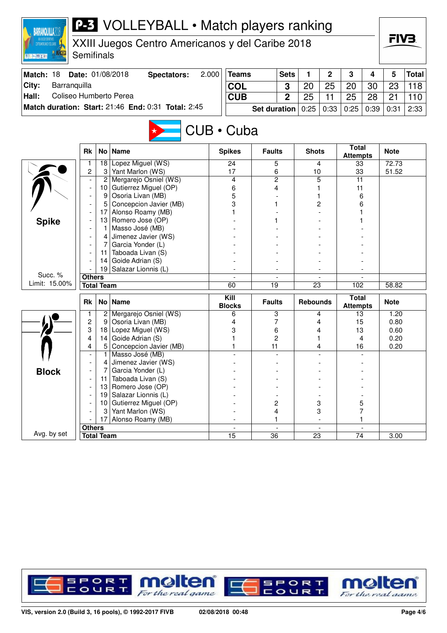| <b>P-3</b> VOLLEYBALL • Match players ranking<br><b>BARRANQUILLA</b><br>XXIII Juegos Centro Americanos y del Caribe 2018<br><b>JUNA JN FRANCHIKOTT</b><br>Semifinals |                           |                   |                                                    |                |                                    |                     |    |                 |                                                    |                                 |      | FIV3.        |       |  |  |
|----------------------------------------------------------------------------------------------------------------------------------------------------------------------|---------------------------|-------------------|----------------------------------------------------|----------------|------------------------------------|---------------------|----|-----------------|----------------------------------------------------|---------------------------------|------|--------------|-------|--|--|
| 图 <mark>机 [mi] (图 ) ( ) (</mark> )                                                                                                                                   |                           |                   |                                                    |                |                                    |                     |    |                 |                                                    |                                 |      |              |       |  |  |
| 2.000<br>Match: 18<br>Date: 01/08/2018<br><b>Teams</b><br><b>Sets</b><br>1<br>2<br>3<br><b>Spectators:</b><br>4                                                      |                           |                   |                                                    |                |                                    |                     |    |                 |                                                    |                                 |      | 5            | Total |  |  |
| City:<br>Barranquilla                                                                                                                                                |                           |                   |                                                    |                | <b>COL</b>                         |                     | 3  | 20              | 25                                                 | 20                              | 30   | 23           | 118   |  |  |
| Hall:<br>Coliseo Humberto Perea                                                                                                                                      |                           | <b>CUB</b>        |                                                    | $\overline{2}$ | 25                                 | 11                  | 25 | 28              | 21                                                 | 110                             |      |              |       |  |  |
|                                                                                                                                                                      |                           |                   |                                                    |                |                                    |                     |    |                 |                                                    |                                 |      |              |       |  |  |
|                                                                                                                                                                      |                           |                   | Match duration: Start: 21:46 End: 0:31 Total: 2:45 |                |                                    | <b>Set duration</b> |    | 0:25            | 0:33                                               | 0:25                            | 0:39 | 0:31         | 2:33  |  |  |
| $CUB \cdot Cuba$                                                                                                                                                     |                           |                   |                                                    |                |                                    |                     |    |                 |                                                    |                                 |      |              |       |  |  |
|                                                                                                                                                                      | <b>Rk</b>                 | No                | <b>Name</b>                                        |                | <b>Spikes</b>                      | <b>Faults</b>       |    | <b>Shots</b>    |                                                    | <b>Total</b><br><b>Attempts</b> |      | <b>Note</b>  |       |  |  |
|                                                                                                                                                                      | 1                         | 18                | Lopez Miguel (WS)                                  |                | 24                                 | 5                   |    |                 | 4                                                  | 33                              |      | 72.73        |       |  |  |
|                                                                                                                                                                      | $\overline{c}$            | 3                 | Yant Marlon (WS)                                   |                | 17                                 | 6                   |    | 10              |                                                    | 33                              |      | 51.52        |       |  |  |
|                                                                                                                                                                      |                           | 2<br>10           | Mergarejo Osniel (WS)<br>Gutierrez Miguel (OP)     |                | $\overline{2}$<br>4<br>4<br>6<br>5 |                     |    | 5               |                                                    | 11<br>11                        |      |              |       |  |  |
|                                                                                                                                                                      |                           | 9                 | Osoria Livan (MB)                                  |                |                                    |                     | 1  |                 |                                                    |                                 | 6    |              |       |  |  |
|                                                                                                                                                                      |                           | 5                 | Concepcion Javier (MB)                             | 3              |                                    |                     |    |                 | 2                                                  | 6                               |      |              |       |  |  |
|                                                                                                                                                                      |                           | 17                | Alonso Roamy (MB)                                  |                |                                    |                     |    |                 |                                                    |                                 |      |              |       |  |  |
| <b>Spike</b>                                                                                                                                                         |                           | 13                | Romero Jose (OP)                                   |                |                                    |                     |    |                 |                                                    |                                 |      |              |       |  |  |
|                                                                                                                                                                      |                           |                   | Masso José (MB)                                    |                |                                    |                     |    |                 |                                                    |                                 |      |              |       |  |  |
|                                                                                                                                                                      |                           | 4                 | Jimenez Javier (WS)                                |                |                                    |                     |    |                 |                                                    |                                 |      |              |       |  |  |
|                                                                                                                                                                      |                           | 7                 | Garcia Yonder (L)                                  |                |                                    |                     |    |                 |                                                    |                                 |      |              |       |  |  |
|                                                                                                                                                                      |                           | 11                | Taboada Livan (S)                                  |                |                                    |                     |    |                 |                                                    |                                 |      |              |       |  |  |
|                                                                                                                                                                      |                           | 14                | Goide Adrian (S)                                   |                |                                    |                     |    |                 |                                                    |                                 |      |              |       |  |  |
| Succ. %                                                                                                                                                              | Salazar Lionnis (L)<br>19 |                   |                                                    |                |                                    |                     |    |                 |                                                    |                                 |      |              |       |  |  |
| Limit: 15.00%                                                                                                                                                        | <b>Others</b>             | <b>Total Team</b> |                                                    |                | 60                                 | $\overline{19}$     |    | $\overline{23}$ |                                                    | 102                             |      | 58.82        |       |  |  |
|                                                                                                                                                                      |                           |                   |                                                    |                |                                    |                     |    |                 |                                                    |                                 |      |              |       |  |  |
|                                                                                                                                                                      | <b>Rk</b>                 | <b>No</b>         | <b>Name</b>                                        |                | Kill<br><b>Blocks</b>              | <b>Faults</b>       |    |                 | <b>Total</b><br><b>Rebounds</b><br><b>Attempts</b> |                                 |      | <b>Note</b>  |       |  |  |
|                                                                                                                                                                      | 1                         | $\overline{c}$    | Mergarejo Osniel (WS)                              |                | 6                                  | 3                   |    |                 | 4                                                  | 13                              |      | 1.20         |       |  |  |
|                                                                                                                                                                      | $\overline{c}$            | 9                 | Osoria Livan (MB)                                  |                | 4                                  | 7                   |    |                 | 4                                                  | 15                              |      | 0.80         |       |  |  |
|                                                                                                                                                                      | 3                         | 18                | Lopez Miguel (WS)                                  |                | 3                                  | 6                   |    |                 | 4                                                  | 13                              |      | 0.60         |       |  |  |
|                                                                                                                                                                      | 4<br>4                    | 14<br>5           | Goide Adrian (S)<br>Concepcion Javier (MB)         |                |                                    | 2<br>11             |    |                 | 4                                                  | 4                               |      | 0.20<br>0.20 |       |  |  |
|                                                                                                                                                                      |                           |                   | Masso José (MB)                                    |                |                                    |                     |    |                 |                                                    | 16                              |      |              |       |  |  |
|                                                                                                                                                                      |                           | 4                 | Jimenez Javier (WS)                                |                |                                    |                     |    |                 |                                                    |                                 |      |              |       |  |  |
| <b>Block</b>                                                                                                                                                         |                           |                   | Garcia Yonder (L)                                  |                |                                    |                     |    |                 |                                                    |                                 |      |              |       |  |  |
|                                                                                                                                                                      |                           | 11                | Taboada Livan (S)                                  |                |                                    |                     |    |                 |                                                    |                                 |      |              |       |  |  |
|                                                                                                                                                                      |                           | 13                | Romero Jose (OP)                                   |                |                                    |                     |    |                 |                                                    |                                 |      |              |       |  |  |
|                                                                                                                                                                      |                           | 19                | Salazar Lionnis (L)                                |                |                                    |                     |    |                 |                                                    |                                 |      |              |       |  |  |
|                                                                                                                                                                      |                           | 10                | Gutierrez Miguel (OP)                              |                |                                    | 2                   |    |                 | 3                                                  | 5                               |      |              |       |  |  |
|                                                                                                                                                                      |                           | 3                 | Yant Marlon (WS)                                   |                |                                    | 4                   |    |                 | 3                                                  | 7                               |      |              |       |  |  |
|                                                                                                                                                                      |                           | 17                | Alonso Roamy (MB)                                  |                |                                    | 1                   |    |                 |                                                    |                                 |      |              |       |  |  |
| Avg. by set                                                                                                                                                          | <b>Others</b>             |                   |                                                    |                | 15                                 | 36                  |    |                 |                                                    |                                 |      |              |       |  |  |
|                                                                                                                                                                      | <b>Total Team</b>         |                   |                                                    |                |                                    |                     |    | 23              |                                                    | 74                              |      | 3.00         |       |  |  |

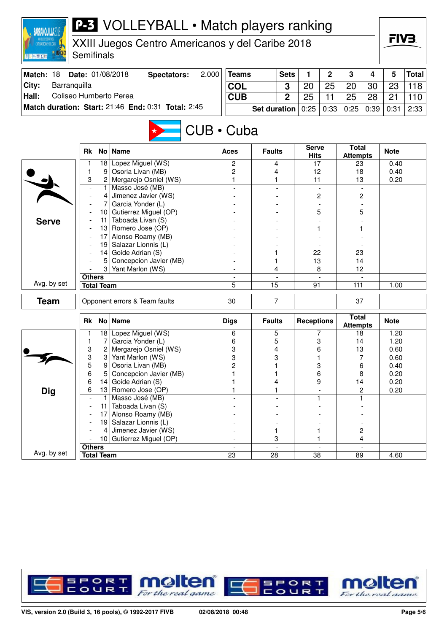| <b>BARRANQUILLA</b>                                                                                                       |                                                      |                   | <b>P-3</b> VOLLEYBALL • Match players ranking      |  |                          |                     |                |                               |                |                                 |                |              |              |
|---------------------------------------------------------------------------------------------------------------------------|------------------------------------------------------|-------------------|----------------------------------------------------|--|--------------------------|---------------------|----------------|-------------------------------|----------------|---------------------------------|----------------|--------------|--------------|
| <b>STEDAMERICANOS Y DEL CARIBE</b>                                                                                        | XXIII Juegos Centro Americanos y del Caribe 2018     |                   |                                                    |  |                          |                     |                |                               |                |                                 |                |              | FIV3.        |
| 图 K-[m] (图 ) ( ) ( )                                                                                                      | Semifinals                                           |                   |                                                    |  |                          |                     |                |                               |                |                                 |                |              |              |
| 2.000<br>Match: 18<br>Date: 01/08/2018<br><b>Teams</b><br><b>Sets</b><br>1<br>$\mathbf 2$<br>3<br><b>Spectators:</b><br>4 |                                                      |                   |                                                    |  |                          |                     |                |                               |                |                                 |                | 5            | <b>Total</b> |
|                                                                                                                           |                                                      |                   |                                                    |  | <b>COL</b>               |                     |                | 20                            | 25             |                                 |                | 23           | 118          |
| City:<br>Barranquilla<br>Coliseo Humberto Perea<br>Hall:                                                                  |                                                      |                   |                                                    |  |                          |                     | 3              |                               |                | 20<br>30                        |                |              |              |
|                                                                                                                           |                                                      |                   | Match duration: Start: 21:46 End: 0:31 Total: 2:45 |  | <b>CUB</b>               |                     | 2              | 25                            | 11             | 25                              | 28             | 21           | 110          |
|                                                                                                                           |                                                      |                   |                                                    |  |                          | <b>Set duration</b> |                | 0:25                          | 0:33           | 0:25                            | 0:39           | 0:31         | 2:33         |
| CUB · Cuba                                                                                                                |                                                      |                   |                                                    |  |                          |                     |                |                               |                |                                 |                |              |              |
|                                                                                                                           | <b>Rk</b>                                            | No <sub>1</sub>   | <b>Name</b>                                        |  | Aces                     | <b>Faults</b>       |                | <b>Serve</b><br><b>Hits</b>   |                | <b>Total</b><br><b>Attempts</b> |                | <b>Note</b>  |              |
|                                                                                                                           |                                                      | 18                | Lopez Miguel (WS)                                  |  | 2                        | 4                   |                | 17                            |                | 23                              |                | 0.40         |              |
|                                                                                                                           | 1                                                    | 9                 | Osoria Livan (MB)                                  |  | $\overline{c}$           | 4                   |                | 12                            |                | 18                              |                | 0.40         |              |
|                                                                                                                           | 3<br>$\overline{\phantom{a}}$                        | 2                 | Mergarejo Osniel (WS)<br>Masso José (MB)           |  | 1                        | 1                   |                | 11                            |                | 13                              |                | 0.20         |              |
|                                                                                                                           |                                                      | 4                 | Jimenez Javier (WS)                                |  |                          |                     |                | $\overline{\phantom{a}}$<br>2 |                |                                 |                |              |              |
|                                                                                                                           |                                                      | 7                 | Garcia Yonder (L)                                  |  |                          |                     |                |                               |                | 2<br>5                          |                |              |              |
|                                                                                                                           |                                                      |                   | 10 Gutierrez Miguel (OP)                           |  |                          |                     |                |                               | 5              |                                 |                |              |              |
| <b>Serve</b>                                                                                                              |                                                      | 11                | Taboada Livan (S)                                  |  |                          |                     |                |                               |                |                                 |                |              |              |
|                                                                                                                           |                                                      |                   | 13 Romero Jose (OP)                                |  |                          |                     |                |                               |                |                                 |                |              |              |
|                                                                                                                           | Alonso Roamy (MB)<br>17<br>Salazar Lionnis (L)<br>19 |                   |                                                    |  |                          |                     |                |                               |                |                                 |                |              |              |
|                                                                                                                           |                                                      |                   |                                                    |  |                          |                     |                |                               |                |                                 |                |              |              |
|                                                                                                                           |                                                      | 14                | Goide Adrian (S)                                   |  |                          | 1                   |                | 22<br>13                      |                | 23<br>14                        |                |              |              |
|                                                                                                                           |                                                      | 5<br>3            | Concepcion Javier (MB)<br>Yant Marlon (WS)         |  |                          | 1                   |                |                               |                |                                 |                |              |              |
|                                                                                                                           | <b>Others</b>                                        |                   |                                                    |  |                          | 4                   |                | 8                             |                | 12                              |                |              |              |
| Avg. by set                                                                                                               |                                                      | <b>Total Team</b> |                                                    |  | 5                        | $\overline{15}$     |                | 91                            |                | 111                             |                | 1.00         |              |
| <b>Team</b>                                                                                                               |                                                      |                   | Opponent errors & Team faults                      |  | 7<br>30                  |                     |                |                               |                | 37                              |                |              |              |
|                                                                                                                           | <b>Rk</b>                                            |                   | No   Name                                          |  | <b>Digs</b>              | <b>Faults</b>       |                | <b>Receptions</b>             |                | <b>Total</b><br><b>Attempts</b> |                | <b>Note</b>  |              |
|                                                                                                                           |                                                      | 18                | Lopez Miguel (WS)                                  |  | 6                        | 5                   |                |                               | 7              | 18                              |                | 1.20         |              |
|                                                                                                                           | 1                                                    | 7                 | Garcia Yonder (L)                                  |  | 6                        | 5                   |                | 3                             |                | 14                              |                | 1.20         |              |
|                                                                                                                           | 3                                                    | 2                 | Mergarejo Osniel (WS)                              |  | 3                        | 4                   |                | 6                             |                | 13                              |                | 0.60         |              |
|                                                                                                                           | 3<br>5                                               | 3<br>9            | Yant Marlon (WS)<br>Osoria Livan (MB)              |  | 3<br>2                   | 3                   |                | 1<br>3                        |                | 7<br>6                          |                | 0.60<br>0.40 |              |
|                                                                                                                           | 6                                                    |                   | Concepcion Javier (MB)                             |  |                          |                     |                | 6                             |                | 8                               |                | 0.20         |              |
|                                                                                                                           | 6                                                    | 14                | Goide Adrian (S)                                   |  |                          | 4                   |                |                               | 9              | 14                              |                | 0.20         |              |
| <b>Dig</b>                                                                                                                | 6                                                    | 13                | Romero Jose (OP)                                   |  |                          | 1                   |                |                               |                |                                 | $\overline{c}$ | 0.20         |              |
|                                                                                                                           |                                                      |                   | Masso José (MB)                                    |  |                          |                     |                |                               | 1              |                                 | 1              |              |              |
|                                                                                                                           |                                                      | 11                | Taboada Livan (S)                                  |  |                          |                     |                |                               |                |                                 |                |              |              |
|                                                                                                                           |                                                      | 17                | Alonso Roamy (MB)                                  |  |                          |                     |                |                               |                |                                 |                |              |              |
|                                                                                                                           |                                                      | 19 <sub>1</sub>   | Salazar Lionnis (L)                                |  |                          |                     |                |                               |                |                                 |                |              |              |
|                                                                                                                           |                                                      | 4                 | Jimenez Javier (WS)                                |  |                          | 1                   |                | 1                             |                |                                 | $\overline{c}$ |              |              |
|                                                                                                                           | <b>Others</b>                                        | 10                | Gutierrez Miguel (OP)                              |  | $\overline{\phantom{a}}$ | 3                   | $\blacksquare$ |                               | $\blacksquare$ |                                 | 4              |              |              |
| Avg. by set                                                                                                               |                                                      | <b>Total Team</b> |                                                    |  | $\overline{23}$          | $\overline{28}$     |                | $\overline{38}$               |                | 89                              |                | 4.60         |              |